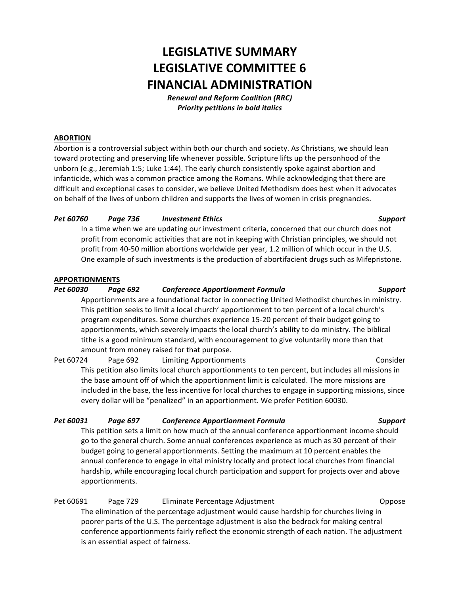# **LEGISLATIVE SUMMARY LEGISLATIVE COMMITTEE 6 FINANCIAL ADMINISTRATION**

*Renewal and Reform Coalition (RRC)* **Priority petitions in bold italics** 

# **ABORTION**

Abortion is a controversial subject within both our church and society. As Christians, we should lean toward protecting and preserving life whenever possible. Scripture lifts up the personhood of the unborn (e.g., Jeremiah 1:5; Luke 1:44). The early church consistently spoke against abortion and infanticide, which was a common practice among the Romans. While acknowledging that there are difficult and exceptional cases to consider, we believe United Methodism does best when it advocates on behalf of the lives of unborn children and supports the lives of women in crisis pregnancies.

# *Pet 60760 Page 736 Investment Ethics Support*

In a time when we are updating our investment criteria, concerned that our church does not profit from economic activities that are not in keeping with Christian principles, we should not profit from 40-50 million abortions worldwide per year, 1.2 million of which occur in the U.S. One example of such investments is the production of abortifacient drugs such as Mifepristone.

# **APPORTIONMENTS**

# *Pet 60030 Page 692 Conference Apportionment Formula Support*

Apportionments are a foundational factor in connecting United Methodist churches in ministry. This petition seeks to limit a local church' apportionment to ten percent of a local church's program expenditures. Some churches experience 15-20 percent of their budget going to apportionments, which severely impacts the local church's ability to do ministry. The biblical tithe is a good minimum standard, with encouragement to give voluntarily more than that amount from money raised for that purpose.

Pet 60724 Page 692 Limiting Apportionments Consider This petition also limits local church apportionments to ten percent, but includes all missions in the base amount off of which the apportionment limit is calculated. The more missions are included in the base, the less incentive for local churches to engage in supporting missions, since every dollar will be "penalized" in an apportionment. We prefer Petition 60030.

# *Pet 60031 Page 697 Conference Apportionment Formula Support*

This petition sets a limit on how much of the annual conference apportionment income should go to the general church. Some annual conferences experience as much as 30 percent of their budget going to general apportionments. Setting the maximum at 10 percent enables the annual conference to engage in vital ministry locally and protect local churches from financial hardship, while encouraging local church participation and support for projects over and above apportionments.

Pet 60691 Page 729 Eliminate Percentage Adjustment Compose Coppose The elimination of the percentage adjustment would cause hardship for churches living in poorer parts of the U.S. The percentage adjustment is also the bedrock for making central conference apportionments fairly reflect the economic strength of each nation. The adjustment is an essential aspect of fairness.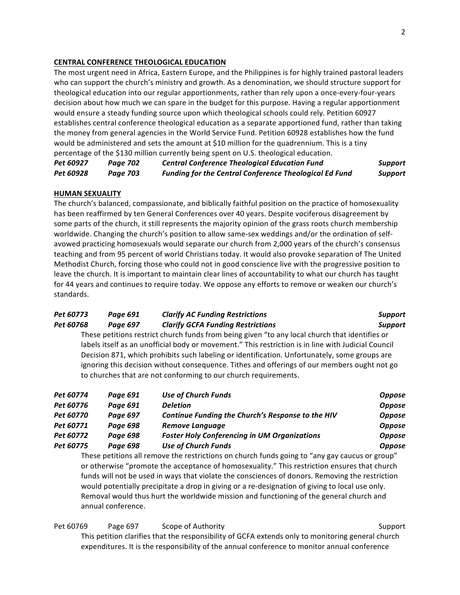# **CENTRAL CONFERENCE THEOLOGICAL EDUCATION**

The most urgent need in Africa, Eastern Europe, and the Philippines is for highly trained pastoral leaders who can support the church's ministry and growth. As a denomination, we should structure support for theological education into our regular apportionments, rather than rely upon a once-every-four-years decision about how much we can spare in the budget for this purpose. Having a regular apportionment would ensure a steady funding source upon which theological schools could rely. Petition 60927 establishes central conference theological education as a separate apportioned fund, rather than taking the money from general agencies in the World Service Fund. Petition 60928 establishes how the fund would be administered and sets the amount at \$10 million for the quadrennium. This is a tiny percentage of the \$130 million currently being spent on U.S. theological education.

*Pet 60927 Page 702 Central Conference Theological Education Fund Support* **Pet 60928 Page 703 Funding for the Central Conference Theological Ed Fund** Support

### **HUMAN SEXUALITY**

The church's balanced, compassionate, and biblically faithful position on the practice of homosexuality has been reaffirmed by ten General Conferences over 40 years. Despite vociferous disagreement by some parts of the church, it still represents the majority opinion of the grass roots church membership worldwide. Changing the church's position to allow same-sex weddings and/or the ordination of selfavowed practicing homosexuals would separate our church from 2,000 years of the church's consensus teaching and from 95 percent of world Christians today. It would also provoke separation of The United Methodist Church, forcing those who could not in good conscience live with the progressive position to leave the church. It is important to maintain clear lines of accountability to what our church has taught for 44 years and continues to require today. We oppose any efforts to remove or weaken our church's standards.

# *Pet 60773 Page 691 Clarify AC Funding Restrictions Support Pet 60768 Page 697 Clarify GCFA Funding Restrictions Support*

These petitions restrict church funds from being given "to any local church that identifies or labels itself as an unofficial body or movement." This restriction is in line with Judicial Council Decision 871, which prohibits such labeling or identification. Unfortunately, some groups are ignoring this decision without consequence. Tithes and offerings of our members ought not go to churches that are not conforming to our church requirements.

| Pet 60774 | Page 691 | <b>Use of Church Funds</b>                          | <b>Oppose</b> |
|-----------|----------|-----------------------------------------------------|---------------|
| Pet 60776 | Page 691 | <b>Deletion</b>                                     | <b>Oppose</b> |
| Pet 60770 | Page 697 | Continue Funding the Church's Response to the HIV   | <b>Oppose</b> |
| Pet 60771 | Page 698 | <b>Remove Language</b>                              | <b>Oppose</b> |
| Pet 60772 | Page 698 | <b>Foster Holy Conferencing in UM Organizations</b> | <b>Oppose</b> |
| Pet 60775 | Page 698 | <b>Use of Church Funds</b>                          | <b>Oppose</b> |
|           |          |                                                     |               |

These petitions all remove the restrictions on church funds going to "any gay caucus or group" or otherwise "promote the acceptance of homosexuality." This restriction ensures that church funds will not be used in ways that violate the consciences of donors. Removing the restriction would potentially precipitate a drop in giving or a re-designation of giving to local use only. Removal would thus hurt the worldwide mission and functioning of the general church and annual conference.

Pet 60769 Page 697 Scope of Authority Support Support

This petition clarifies that the responsibility of GCFA extends only to monitoring general church expenditures. It is the responsibility of the annual conference to monitor annual conference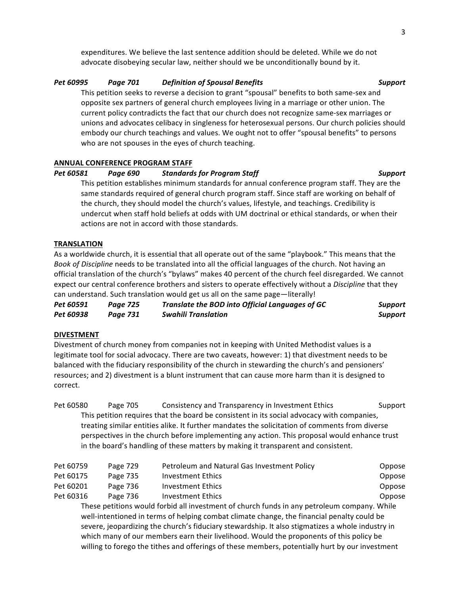expenditures. We believe the last sentence addition should be deleted. While we do not advocate disobeying secular law, neither should we be unconditionally bound by it.

# *Pet 60995 Page 701 Definition of Spousal Benefits Support*

This petition seeks to reverse a decision to grant "spousal" benefits to both same-sex and opposite sex partners of general church employees living in a marriage or other union. The current policy contradicts the fact that our church does not recognize same-sex marriages or unions and advocates celibacy in singleness for heterosexual persons. Our church policies should embody our church teachings and values. We ought not to offer "spousal benefits" to persons who are not spouses in the eyes of church teaching.

# **ANNUAL CONFERENCE PROGRAM STAFF**

# *Pet 60581 Page 690 Standards for Program Staff Support*

This petition establishes minimum standards for annual conference program staff. They are the same standards required of general church program staff. Since staff are working on behalf of the church, they should model the church's values, lifestyle, and teachings. Credibility is undercut when staff hold beliefs at odds with UM doctrinal or ethical standards, or when their actions are not in accord with those standards.

# **TRANSLATION**

As a worldwide church, it is essential that all operate out of the same "playbook." This means that the *Book of Discipline* needs to be translated into all the official languages of the church. Not having an official translation of the church's "bylaws" makes 40 percent of the church feel disregarded. We cannot expect our central conference brothers and sisters to operate effectively without a *Discipline* that they can understand. Such translation would get us all on the same page-literally!

| Pet 60591 | Paae 725 | Translate the BOD into Official Languages of GC | <b>Support</b> |
|-----------|----------|-------------------------------------------------|----------------|
| Pet 60938 | Page 731 | <b>Swahili Translation</b>                      | <b>Support</b> |

# **DIVESTMENT**

Divestment of church money from companies not in keeping with United Methodist values is a legitimate tool for social advocacy. There are two caveats, however: 1) that divestment needs to be balanced with the fiduciary responsibility of the church in stewarding the church's and pensioners' resources; and 2) divestment is a blunt instrument that can cause more harm than it is designed to correct.

Pet 60580 Page 705 Consistency and Transparency in Investment Ethics Support This petition requires that the board be consistent in its social advocacy with companies, treating similar entities alike. It further mandates the solicitation of comments from diverse perspectives in the church before implementing any action. This proposal would enhance trust in the board's handling of these matters by making it transparent and consistent.

| Pet 60759                                                                                        |  | Page 729 | Petroleum and Natural Gas Investment Policy | Oppose |  |
|--------------------------------------------------------------------------------------------------|--|----------|---------------------------------------------|--------|--|
| Pet 60175                                                                                        |  | Page 735 | <b>Investment Ethics</b>                    | Oppose |  |
| Pet 60201                                                                                        |  | Page 736 | <b>Investment Ethics</b>                    | Oppose |  |
| Pet 60316                                                                                        |  | Page 736 | <b>Investment Ethics</b>                    | Oppose |  |
| These petitions would forbid all investment of church funds in any petroleum company. While      |  |          |                                             |        |  |
| well-intentioned in terms of helping combat climate change, the financial penalty could be       |  |          |                                             |        |  |
| severe, jeopardizing the church's fiduciary stewardship. It also stigmatizes a whole industry in |  |          |                                             |        |  |
| which many of our members earn their livelihood. Would the proponents of this policy be          |  |          |                                             |        |  |
| willing to forego the tithes and offerings of these members, potentially hurt by our investment  |  |          |                                             |        |  |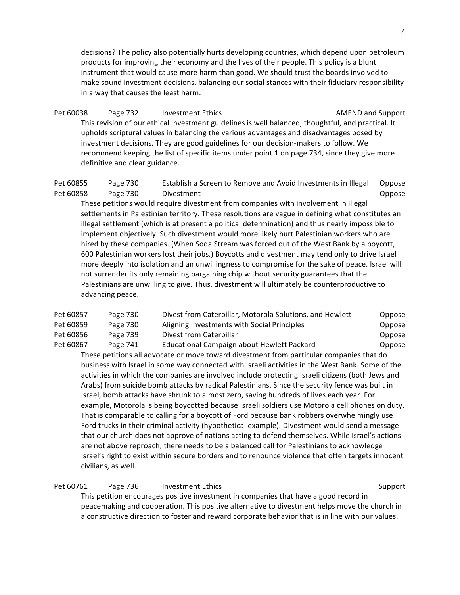decisions? The policy also potentially hurts developing countries, which depend upon petroleum products for improving their economy and the lives of their people. This policy is a blunt instrument that would cause more harm than good. We should trust the boards involved to make sound investment decisions, balancing our social stances with their fiduciary responsibility in a way that causes the least harm.

Pet 60038 Page 732 Investment Ethics **Example 2018** AMEND and Support This revision of our ethical investment guidelines is well balanced, thoughtful, and practical. It upholds scriptural values in balancing the various advantages and disadvantages posed by investment decisions. They are good guidelines for our decision-makers to follow. We recommend keeping the list of specific items under point 1 on page 734, since they give more definitive and clear guidance.

Pet 60855 Page 730 Establish a Screen to Remove and Avoid Investments in Illegal Oppose Pet 60858 Page 730 Divestment Design Controller Communications of Dippose

These petitions would require divestment from companies with involvement in illegal settlements in Palestinian territory. These resolutions are vague in defining what constitutes an illegal settlement (which is at present a political determination) and thus nearly impossible to implement objectively. Such divestment would more likely hurt Palestinian workers who are hired by these companies. (When Soda Stream was forced out of the West Bank by a boycott, 600 Palestinian workers lost their jobs.) Boycotts and divestment may tend only to drive Israel more deeply into isolation and an unwillingness to compromise for the sake of peace. Israel will not surrender its only remaining bargaining chip without security guarantees that the Palestinians are unwilling to give. Thus, divestment will ultimately be counterproductive to advancing peace.

| Pet 60857 | Page 730 | Divest from Caterpillar, Motorola Solutions, and Hewlett | Oppose |
|-----------|----------|----------------------------------------------------------|--------|
| Pet 60859 | Page 730 | Aligning Investments with Social Principles              | Oppose |
| Pet 60856 | Page 739 | Divest from Caterpillar                                  | Oppose |
| Pet 60867 | Page 741 | Educational Campaign about Hewlett Packard               | Oppose |

These petitions all advocate or move toward divestment from particular companies that do business with Israel in some way connected with Israeli activities in the West Bank. Some of the activities in which the companies are involved include protecting Israeli citizens (both Jews and Arabs) from suicide bomb attacks by radical Palestinians. Since the security fence was built in Israel, bomb attacks have shrunk to almost zero, saving hundreds of lives each year. For example, Motorola is being boycotted because Israeli soldiers use Motorola cell phones on duty. That is comparable to calling for a boycott of Ford because bank robbers overwhelmingly use Ford trucks in their criminal activity (hypothetical example). Divestment would send a message that our church does not approve of nations acting to defend themselves. While Israel's actions are not above reproach, there needs to be a balanced call for Palestinians to acknowledge Israel's right to exist within secure borders and to renounce violence that often targets innocent civilians, as well.

Pet 60761 Page 736 Investment Ethics **Support** Support This petition encourages positive investment in companies that have a good record in peacemaking and cooperation. This positive alternative to divestment helps move the church in a constructive direction to foster and reward corporate behavior that is in line with our values.